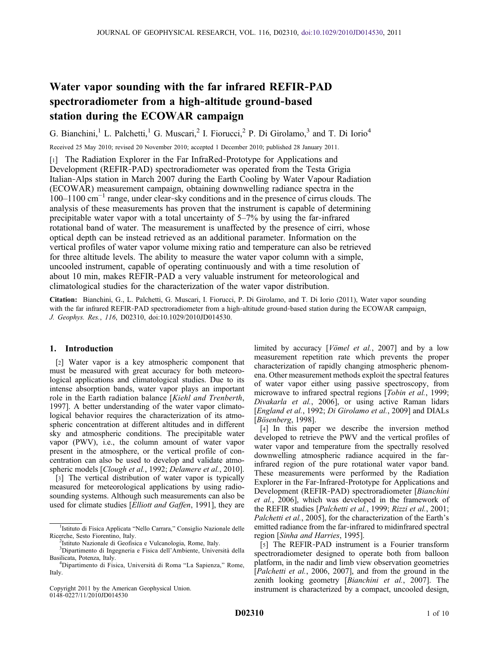# Water vapor sounding with the far infrared REFIR‐PAD spectroradiometer from a high‐altitude ground‐based station during the ECOWAR campaign

G. Bianchini,<sup>1</sup> L. Palchetti,<sup>1</sup> G. Muscari,<sup>2</sup> I. Fiorucci,<sup>2</sup> P. Di Girolamo,<sup>3</sup> and T. Di Iorio<sup>4</sup>

Received 25 May 2010; revised 20 November 2010; accepted 1 December 2010; published 28 January 2011.

[1] The Radiation Explorer in the Far InfraRed-Prototype for Applications and Development (REFIR‐PAD) spectroradiometer was operated from the Testa Grigia Italian‐Alps station in March 2007 during the Earth Cooling by Water Vapour Radiation (ECOWAR) measurement campaign, obtaining downwelling radiance spectra in the 100–1100 cm−<sup>1</sup> range, under clear‐sky conditions and in the presence of cirrus clouds. The analysis of these measurements has proven that the instrument is capable of determining precipitable water vapor with a total uncertainty of 5–7% by using the far-infrared rotational band of water. The measurement is unaffected by the presence of cirri, whose optical depth can be instead retrieved as an additional parameter. Information on the vertical profiles of water vapor volume mixing ratio and temperature can also be retrieved for three altitude levels. The ability to measure the water vapor column with a simple, uncooled instrument, capable of operating continuously and with a time resolution of about 10 min, makes REFIR‐PAD a very valuable instrument for meteorological and climatological studies for the characterization of the water vapor distribution.

Citation: Bianchini, G., L. Palchetti, G. Muscari, I. Fiorucci, P. Di Girolamo, and T. Di Iorio (2011), Water vapor sounding with the far infrared REFIR-PAD spectroradiometer from a high-altitude ground-based station during the ECOWAR campaign, J. Geophys. Res., 116, D02310, doi:10.1029/2010JD014530.

# 1. Introduction

[2] Water vapor is a key atmospheric component that must be measured with great accuracy for both meteorological applications and climatological studies. Due to its intense absorption bands, water vapor plays an important role in the Earth radiation balance [Kiehl and Trenberth, 1997]. A better understanding of the water vapor climatological behavior requires the characterization of its atmospheric concentration at different altitudes and in different sky and atmospheric conditions. The precipitable water vapor (PWV), i.e., the column amount of water vapor present in the atmosphere, or the vertical profile of concentration can also be used to develop and validate atmospheric models [Clough et al., 1992; Delamere et al., 2010].

[3] The vertical distribution of water vapor is typically measured for meteorological applications by using radiosounding systems. Although such measurements can also be used for climate studies [Elliott and Gaffen, 1991], they are

Copyright 2011 by the American Geophysical Union. 0148‐0227/11/2010JD014530

limited by accuracy [Vömel et al., 2007] and by a low measurement repetition rate which prevents the proper characterization of rapidly changing atmospheric phenomena. Other measurement methods exploit the spectral features of water vapor either using passive spectroscopy, from microwave to infrared spectral regions [*Tobin et al.*, 1999; Divakarla et al., 2006], or using active Raman lidars [England et al., 1992; Di Girolamo et al., 2009] and DIALs [Bösenberg, 1998].

[4] In this paper we describe the inversion method developed to retrieve the PWV and the vertical profiles of water vapor and temperature from the spectrally resolved downwelling atmospheric radiance acquired in the farinfrared region of the pure rotational water vapor band. These measurements were performed by the Radiation Explorer in the Far‐Infrared‐Prototype for Applications and Development (REFIR-PAD) spectroradiometer [Bianchini et al., 2006], which was developed in the framework of the REFIR studies [Palchetti et al., 1999; Rizzi et al., 2001; Palchetti et al., 2005], for the characterization of the Earth's emitted radiance from the far-infrared to midinfrared spectral region [Sinha and Harries, 1995].

[5] The REFIR-PAD instrument is a Fourier transform spectroradiometer designed to operate both from balloon platform, in the nadir and limb view observation geometries [Palchetti et al., 2006, 2007], and from the ground in the zenith looking geometry [Bianchini et al., 2007]. The instrument is characterized by a compact, uncooled design,

<sup>&</sup>lt;sup>1</sup>Istituto di Fisica Applicata "Nello Carrara," Consiglio Nazionale delle Ricerche, Sesto Fiorentino, Italy. <sup>2</sup>

<sup>&</sup>lt;sup>2</sup>Istituto Nazionale di Geofisica e Vulcanologia, Rome, Italy.

<sup>3</sup> Dipartimento di Ingegneria e Fisica dell'Ambiente, Università della Basilicata, Potenza, Italy. <sup>4</sup>

Dipartimento di Fisica, Università di Roma "La Sapienza," Rome, Italy.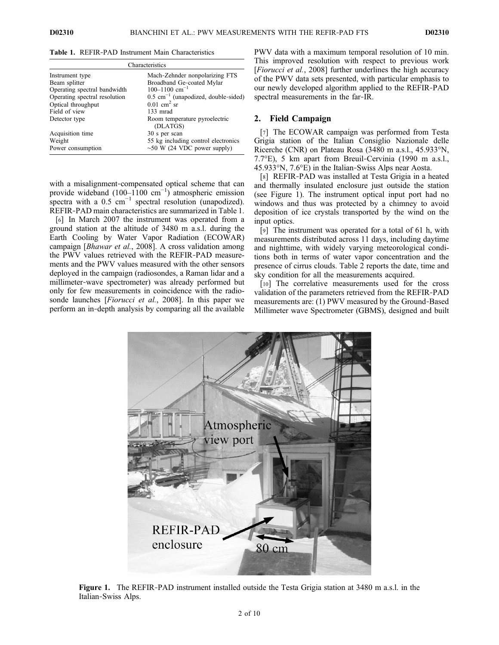| Characteristics               |                                                  |  |  |  |
|-------------------------------|--------------------------------------------------|--|--|--|
| Instrument type               | Mach-Zehnder nonpolarizing FTS                   |  |  |  |
| Beam splitter                 | Broadband Ge-coated Mylar                        |  |  |  |
| Operating spectral bandwidth  | $100 - 1100$ cm <sup>-1</sup>                    |  |  |  |
| Operating spectral resolution | $0.5 \text{ cm}^{-1}$ (unapodized, double-sided) |  |  |  |
| Optical throughput            | $0.01$ cm <sup>2</sup> sr                        |  |  |  |
| Field of view                 | 133 mrad                                         |  |  |  |
| Detector type                 | Room temperature pyroelectric<br>(DLATGS)        |  |  |  |
| Acquisition time              | 30 s per scan                                    |  |  |  |
| Weight                        | 55 kg including control electronics              |  |  |  |
| Power consumption             | $\sim 50$ W (24 VDC power supply)                |  |  |  |

Table 1. REFIR‐PAD Instrument Main Characteristics

with a misalignment-compensated optical scheme that can provide wideband  $(100-1100 \text{ cm}^{-1})$  atmospheric emission spectra with a  $0.5$  cm<sup>-1</sup> spectral resolution (unapodized). REFIR‐PAD main characteristics are summarized in Table 1.

[6] In March 2007 the instrument was operated from a ground station at the altitude of 3480 m a.s.l. during the Earth Cooling by Water Vapor Radiation (ECOWAR) campaign [Bhawar et al., 2008]. A cross validation among the PWV values retrieved with the REFIR‐PAD measurements and the PWV values measured with the other sensors deployed in the campaign (radiosondes, a Raman lidar and a millimeter‐wave spectrometer) was already performed but only for few measurements in coincidence with the radiosonde launches [Fiorucci et al., 2008]. In this paper we perform an in‐depth analysis by comparing all the available

PWV data with a maximum temporal resolution of 10 min. This improved resolution with respect to previous work [*Fiorucci et al.*, 2008] further underlines the high accuracy of the PWV data sets presented, with particular emphasis to our newly developed algorithm applied to the REFIR‐PAD spectral measurements in the far‐IR.

#### 2. Field Campaign

[7] The ECOWAR campaign was performed from Testa Grigia station of the Italian Consiglio Nazionale delle Ricerche (CNR) on Plateau Rosa (3480 m a.s.l., 45.933°N, 7.7°E), 5 km apart from Breuil‐Cervinia (1990 m a.s.l., 45.933°N, 7.6°E) in the Italian‐Swiss Alps near Aosta.

[8] REFIR-PAD was installed at Testa Grigia in a heated and thermally insulated enclosure just outside the station (see Figure 1). The instrument optical input port had no windows and thus was protected by a chimney to avoid deposition of ice crystals transported by the wind on the input optics.

[9] The instrument was operated for a total of 61 h, with measurements distributed across 11 days, including daytime and nighttime, with widely varying meteorological conditions both in terms of water vapor concentration and the presence of cirrus clouds. Table 2 reports the date, time and sky condition for all the measurements acquired.

[10] The correlative measurements used for the cross validation of the parameters retrieved from the REFIR‐PAD measurements are: (1) PWV measured by the Ground‐Based Millimeter wave Spectrometer (GBMS), designed and built



Figure 1. The REFIR-PAD instrument installed outside the Testa Grigia station at 3480 m a.s.l. in the Italian‐Swiss Alps.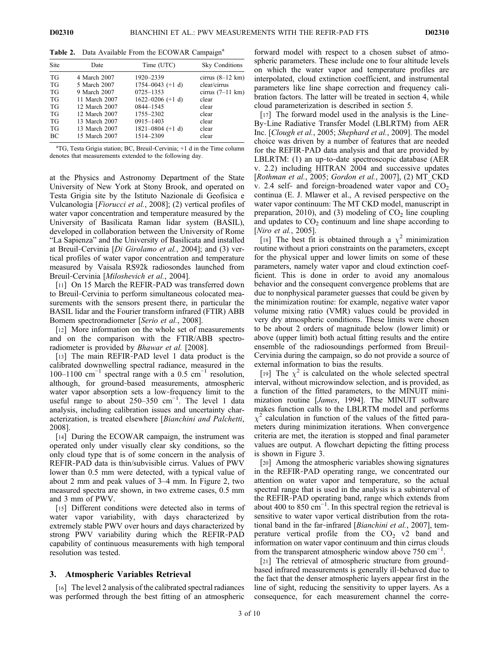| Table 2. Data Available From the ECOWAR Campaign <sup>a</sup> |  |  |
|---------------------------------------------------------------|--|--|
|                                                               |  |  |

| Site      | Date          | Time (UTC)           | <b>Sky Conditions</b>      |
|-----------|---------------|----------------------|----------------------------|
| TG        | 4 March 2007  | 1920-2339            | cirrus $(8-12 \text{ km})$ |
| TG        | 5 March 2007  | $1754 - 0043$ (+1 d) | clear/cirrus               |
| TG        | 9 March 2007  | 0725-1353            | cirrus $(7-11 \text{ km})$ |
| TG        | 11 March 2007 | $1622 - 0206 (+1 d)$ | clear                      |
| TG        | 12 March 2007 | 0844-1545            | clear                      |
| TG        | 12 March 2007 | 1755-2302            | clear                      |
| TG        | 13 March 2007 | 0915-1403            | clear                      |
| TG        | 13 March 2007 | $1821 - 0804 (+1 d)$ | clear                      |
| <b>BC</b> | 15 March 2007 | 1514-2309            | clear                      |

a TG, Testa Grigia station; BC, Breuil‐Cervinia; +1 d in the Time column denotes that measurements extended to the following day.

at the Physics and Astronomy Department of the State University of New York at Stony Brook, and operated on Testa Grigia site by the Istituto Nazionale di Geofisica e Vulcanologia [Fiorucci et al., 2008]; (2) vertical profiles of water vapor concentration and temperature measured by the University of Basilicata Raman lidar system (BASIL), developed in collaboration between the University of Rome "La Sapienza" and the University of Basilicata and installed at Breuil-Cervinia [Di Girolamo et al., 2004]; and (3) vertical profiles of water vapor concentration and temperature measured by Vaisala RS92k radiosondes launched from Breuil‐Cervinia [Miloshevich et al., 2004].

[11] On 15 March the REFIR-PAD was transferred down to Breuil‐Cervinia to perform simultaneous colocated measurements with the sensors present there, in particular the BASIL lidar and the Fourier transform infrared (FTIR) ABB Bomem spectroradiometer [Serio et al., 2008].

[12] More information on the whole set of measurements and on the comparison with the FTIR/ABB spectroradiometer is provided by *Bhawar et al.* [2008].

[13] The main REFIR‐PAD level 1 data product is the calibrated downwelling spectral radiance, measured in the 100–1100 cm<sup>-1</sup> spectral range with a 0.5 cm<sup>-1</sup> resolution, although, for ground‐based measurements, atmospheric water vapor absorption sets a low-frequency limit to the useful range to about  $250-350$  cm<sup>-1</sup>. The level 1 data analysis, including calibration issues and uncertainty characterization, is treated elsewhere [Bianchini and Palchetti, 2008].

[14] During the ECOWAR campaign, the instrument was operated only under visually clear sky conditions, so the only cloud type that is of some concern in the analysis of REFIR‐PAD data is thin/subvisible cirrus. Values of PWV lower than 0.5 mm were detected, with a typical value of about 2 mm and peak values of 3–4 mm. In Figure 2, two measured spectra are shown, in two extreme cases, 0.5 mm and 3 mm of PWV.

[15] Different conditions were detected also in terms of water vapor variability, with days characterized by extremely stable PWV over hours and days characterized by strong PWV variability during which the REFIR‐PAD capability of continuous measurements with high temporal resolution was tested.

#### 3. Atmospheric Variables Retrieval

[16] The level 2 analysis of the calibrated spectral radiances was performed through the best fitting of an atmospheric forward model with respect to a chosen subset of atmospheric parameters. These include one to four altitude levels on which the water vapor and temperature profiles are interpolated, cloud extinction coefficient, and instrumental parameters like line shape correction and frequency calibration factors. The latter will be treated in section 4, while cloud parameterization is described in section 5.

[17] The forward model used in the analysis is the Line-By‐Line Radiative Transfer Model (LBLRTM) from AER Inc. [Clough et al., 2005; Shephard et al., 2009]. The model choice was driven by a number of features that are needed for the REFIR‐PAD data analysis and that are provided by LBLRTM: (1) an up‐to‐date spectroscopic database (AER v. 2.2) including HITRAN 2004 and successive updates [Rothman et al., 2005; Gordon et al., 2007], (2) MT\_CKD v. 2.4 self- and foreign-broadened water vapor and  $CO<sub>2</sub>$ continua (E. J. Mlawer et al., A revised perspective on the water vapor continuum: The MT CKD model, manuscript in preparation, 2010), and (3) modeling of  $CO<sub>2</sub>$  line coupling and updates to  $CO<sub>2</sub>$  continuum and line shape according to [*Niro et al.*, 2005].

[18] The best fit is obtained through a  $\chi^2$  minimization routine without a priori constraints on the parameters, except for the physical upper and lower limits on some of these parameters, namely water vapor and cloud extinction coefficient. This is done in order to avoid any anomalous behavior and the consequent convergence problems that are due to nonphysical parameter guesses that could be given by the minimization routine: for example, negative water vapor volume mixing ratio (VMR) values could be provided in very dry atmospheric conditions. These limits were chosen to be about 2 orders of magnitude below (lower limit) or above (upper limit) both actual fitting results and the entire ensemble of the radiosoundings performed from Breuil-Cervinia during the campaign, so do not provide a source of external information to bias the results.

[19] The  $\chi^2$  is calculated on the whole selected spectral interval, without microwindow selection, and is provided, as a function of the fitted parameters, to the MINUIT minimization routine [James, 1994]. The MINUIT software makes function calls to the LBLRTM model and performs  $\chi^2$  calculation in function of the values of the fitted parameters during minimization iterations. When convergence criteria are met, the iteration is stopped and final parameter values are output. A flowchart depicting the fitting process is shown in Figure 3.

[20] Among the atmospheric variables showing signatures in the REFIR‐PAD operating range, we concentrated our attention on water vapor and temperature, so the actual spectral range that is used in the analysis is a subinterval of the REFIR‐PAD operating band, range which extends from about 400 to 850 cm<sup>-1</sup>. In this spectral region the retrieval is sensitive to water vapor vertical distribution from the rotational band in the far-infrared [*Bianchini et al.*, 2007], temperature vertical profile from the  $CO<sub>2</sub>$  v2 band and information on water vapor continuum and thin cirrus clouds from the transparent atmospheric window above  $750 \text{ cm}^{-1}$ .

[21] The retrieval of atmospheric structure from groundbased infrared measurements is generally ill‐behaved due to the fact that the denser atmospheric layers appear first in the line of sight, reducing the sensitivity to upper layers. As a consequence, for each measurement channel the corre-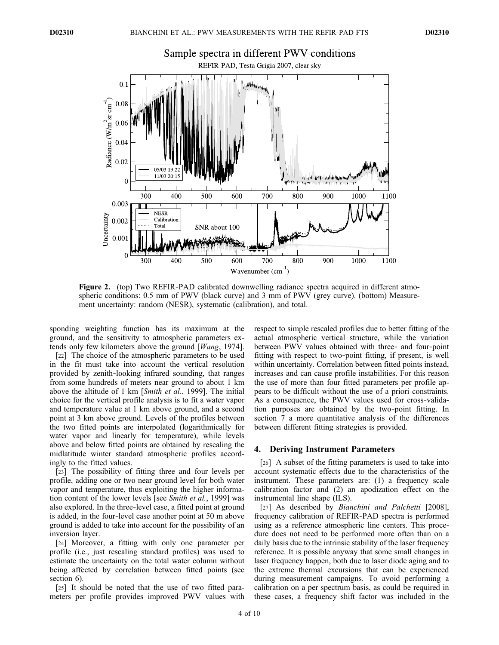

Figure 2. (top) Two REFIR-PAD calibrated downwelling radiance spectra acquired in different atmospheric conditions: 0.5 mm of PWV (black curve) and 3 mm of PWV (grey curve). (bottom) Measurement uncertainty: random (NESR), systematic (calibration), and total.

sponding weighting function has its maximum at the ground, and the sensitivity to atmospheric parameters extends only few kilometers above the ground [Wang, 1974].

[22] The choice of the atmospheric parameters to be used in the fit must take into account the vertical resolution provided by zenith‐looking infrared sounding, that ranges from some hundreds of meters near ground to about 1 km above the altitude of 1 km [Smith et al., 1999]. The initial choice for the vertical profile analysis is to fit a water vapor and temperature value at 1 km above ground, and a second point at 3 km above ground. Levels of the profiles between the two fitted points are interpolated (logarithmically for water vapor and linearly for temperature), while levels above and below fitted points are obtained by rescaling the midlatitude winter standard atmospheric profiles accordingly to the fitted values.

[23] The possibility of fitting three and four levels per profile, adding one or two near ground level for both water vapor and temperature, thus exploiting the higher information content of the lower levels [see Smith et al., 1999] was also explored. In the three‐level case, a fitted point at ground is added, in the four‐level case another point at 50 m above ground is added to take into account for the possibility of an inversion layer.

[24] Moreover, a fitting with only one parameter per profile (i.e., just rescaling standard profiles) was used to estimate the uncertainty on the total water column without being affected by correlation between fitted points (see section 6).

[25] It should be noted that the use of two fitted parameters per profile provides improved PWV values with respect to simple rescaled profiles due to better fitting of the actual atmospheric vertical structure, while the variation between PWV values obtained with three‐ and four‐point fitting with respect to two‐point fitting, if present, is well within uncertainty. Correlation between fitted points instead, increases and can cause profile instabilities. For this reason the use of more than four fitted parameters per profile appears to be difficult without the use of a priori constraints. As a consequence, the PWV values used for cross-validation purposes are obtained by the two-point fitting. In section 7 a more quantitative analysis of the differences between different fitting strategies is provided.

#### 4. Deriving Instrument Parameters

[26] A subset of the fitting parameters is used to take into account systematic effects due to the characteristics of the instrument. These parameters are: (1) a frequency scale calibration factor and (2) an apodization effect on the instrumental line shape (ILS).

[27] As described by *Bianchini and Palchetti* [2008], frequency calibration of REFIR‐PAD spectra is performed using as a reference atmospheric line centers. This procedure does not need to be performed more often than on a daily basis due to the intrinsic stability of the laser frequency reference. It is possible anyway that some small changes in laser frequency happen, both due to laser diode aging and to the extreme thermal excursions that can be experienced during measurement campaigns. To avoid performing a calibration on a per spectrum basis, as could be required in these cases, a frequency shift factor was included in the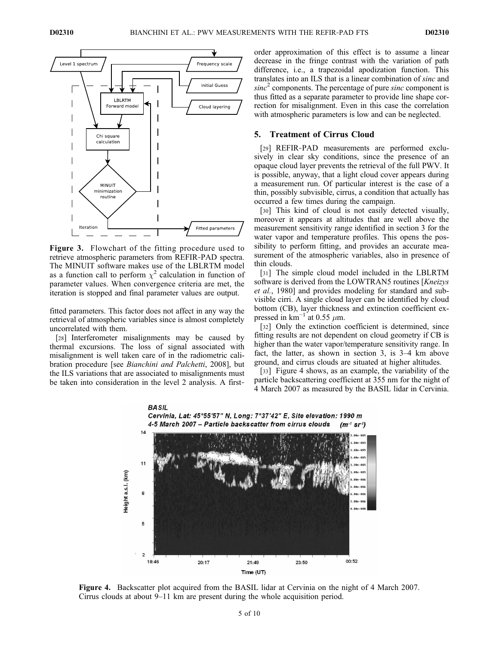

Figure 3. Flowchart of the fitting procedure used to retrieve atmospheric parameters from REFIR‐PAD spectra. The MINUIT software makes use of the LBLRTM model as a function call to perform  $\chi^2$  calculation in function of parameter values. When convergence criteria are met, the iteration is stopped and final parameter values are output.

fitted parameters. This factor does not affect in any way the retrieval of atmospheric variables since is almost completely uncorrelated with them.

[28] Interferometer misalignments may be caused by thermal excursions. The loss of signal associated with misalignment is well taken care of in the radiometric calibration procedure [see Bianchini and Palchetti, 2008], but the ILS variations that are associated to misalignments must be taken into consideration in the level 2 analysis. A firstorder approximation of this effect is to assume a linear decrease in the fringe contrast with the variation of path difference, i.e., a trapezoidal apodization function. This translates into an ILS that is a linear combination of sinc and  $sinc<sup>2</sup>$  components. The percentage of pure sinc component is thus fitted as a separate parameter to provide line shape correction for misalignment. Even in this case the correlation with atmospheric parameters is low and can be neglected.

# 5. Treatment of Cirrus Cloud

[29] REFIR-PAD measurements are performed exclusively in clear sky conditions, since the presence of an opaque cloud layer prevents the retrieval of the full PWV. It is possible, anyway, that a light cloud cover appears during a measurement run. Of particular interest is the case of a thin, possibly subvisible, cirrus, a condition that actually has occurred a few times during the campaign.

[30] This kind of cloud is not easily detected visually, moreover it appears at altitudes that are well above the measurement sensitivity range identified in section 3 for the water vapor and temperature profiles. This opens the possibility to perform fitting, and provides an accurate measurement of the atmospheric variables, also in presence of thin clouds.

[31] The simple cloud model included in the LBLRTM software is derived from the LOWTRAN5 routines [Kneizys] et al., 1980] and provides modeling for standard and subvisible cirri. A single cloud layer can be identified by cloud bottom (CB), layer thickness and extinction coefficient expressed in km<sup> $-1$ </sup> at 0.55  $\mu$ m.

[32] Only the extinction coefficient is determined, since fitting results are not dependent on cloud geometry if CB is higher than the water vapor/temperature sensitivity range. In fact, the latter, as shown in section 3, is 3–4 km above ground, and cirrus clouds are situated at higher altitudes.

[33] Figure 4 shows, as an example, the variability of the particle backscattering coefficient at 355 nm for the night of 4 March 2007 as measured by the BASIL lidar in Cervinia.



Figure 4. Backscatter plot acquired from the BASIL lidar at Cervinia on the night of 4 March 2007. Cirrus clouds at about 9–11 km are present during the whole acquisition period.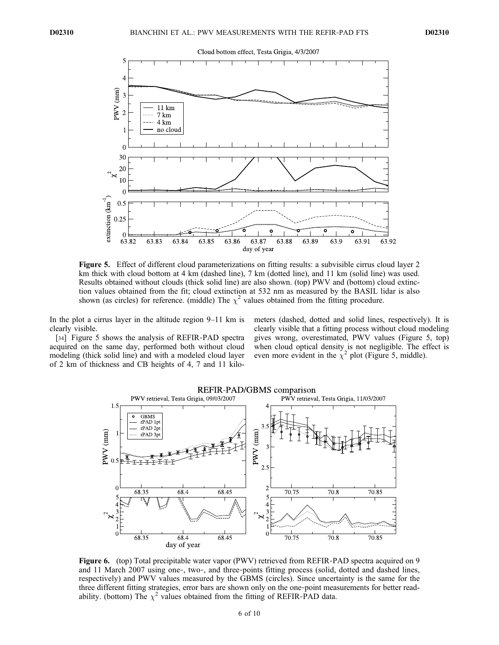

Figure 5. Effect of different cloud parameterizations on fitting results: a subvisible cirrus cloud layer 2 km thick with cloud bottom at 4 km (dashed line), 7 km (dotted line), and 11 km (solid line) was used. Results obtained without clouds (thick solid line) are also shown. (top) PWV and (bottom) cloud extinction values obtained from the fit; cloud extinction at 532 nm as measured by the BASIL lidar is also shown (as circles) for reference. (middle) The  $\chi^2$  values obtained from the fitting procedure.

In the plot a cirrus layer in the altitude region 9–11 km is clearly visible.

[34] Figure 5 shows the analysis of REFIR-PAD spectra acquired on the same day, performed both without cloud modeling (thick solid line) and with a modeled cloud layer of 2 km of thickness and CB heights of 4, 7 and 11 kilometers (dashed, dotted and solid lines, respectively). It is clearly visible that a fitting process without cloud modeling gives wrong, overestimated, PWV values (Figure 5, top) when cloud optical density is not negligible. The effect is even more evident in the  $\chi^2$  plot (Figure 5, middle).



Figure 6. (top) Total precipitable water vapor (PWV) retrieved from REFIR-PAD spectra acquired on 9 and 11 March 2007 using one‐, two‐, and three‐points fitting process (solid, dotted and dashed lines, respectively) and PWV values measured by the GBMS (circles). Since uncertainty is the same for the three different fitting strategies, error bars are shown only on the one‐point measurements for better readability. (bottom) The  $\chi^2$  values obtained from the fitting of REFIR-PAD data.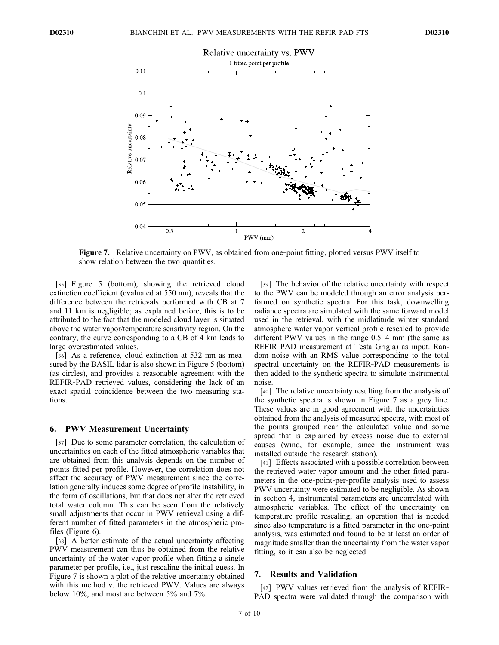

Figure 7. Relative uncertainty on PWV, as obtained from one-point fitting, plotted versus PWV itself to show relation between the two quantities.

[35] Figure 5 (bottom), showing the retrieved cloud extinction coefficient (evaluated at 550 nm), reveals that the difference between the retrievals performed with CB at 7 and 11 km is negligible; as explained before, this is to be attributed to the fact that the modeled cloud layer is situated above the water vapor/temperature sensitivity region. On the contrary, the curve corresponding to a CB of 4 km leads to large overestimated values.

[36] As a reference, cloud extinction at 532 nm as measured by the BASIL lidar is also shown in Figure 5 (bottom) (as circles), and provides a reasonable agreement with the REFIR‐PAD retrieved values, considering the lack of an exact spatial coincidence between the two measuring stations.

#### 6. PWV Measurement Uncertainty

[37] Due to some parameter correlation, the calculation of uncertainties on each of the fitted atmospheric variables that are obtained from this analysis depends on the number of points fitted per profile. However, the correlation does not affect the accuracy of PWV measurement since the correlation generally induces some degree of profile instability, in the form of oscillations, but that does not alter the retrieved total water column. This can be seen from the relatively small adjustments that occur in PWV retrieval using a different number of fitted parameters in the atmospheric profiles (Figure 6).

[38] A better estimate of the actual uncertainty affecting PWV measurement can thus be obtained from the relative uncertainty of the water vapor profile when fitting a single parameter per profile, i.e., just rescaling the initial guess. In Figure 7 is shown a plot of the relative uncertainty obtained with this method v. the retrieved PWV. Values are always below 10%, and most are between 5% and 7%.

[39] The behavior of the relative uncertainty with respect to the PWV can be modeled through an error analysis performed on synthetic spectra. For this task, downwelling radiance spectra are simulated with the same forward model used in the retrieval, with the midlatitude winter standard atmosphere water vapor vertical profile rescaled to provide different PWV values in the range 0.5–4 mm (the same as REFIR‐PAD measurement at Testa Grigia) as input. Random noise with an RMS value corresponding to the total spectral uncertainty on the REFIR-PAD measurements is then added to the synthetic spectra to simulate instrumental noise.

[40] The relative uncertainty resulting from the analysis of the synthetic spectra is shown in Figure 7 as a grey line. These values are in good agreement with the uncertainties obtained from the analysis of measured spectra, with most of the points grouped near the calculated value and some spread that is explained by excess noise due to external causes (wind, for example, since the instrument was installed outside the research station).

[41] Effects associated with a possible correlation between the retrieved water vapor amount and the other fitted parameters in the one‐point‐per‐profile analysis used to assess PWV uncertainty were estimated to be negligible. As shown in section 4, instrumental parameters are uncorrelated with atmospheric variables. The effect of the uncertainty on temperature profile rescaling, an operation that is needed since also temperature is a fitted parameter in the one-point analysis, was estimated and found to be at least an order of magnitude smaller than the uncertainty from the water vapor fitting, so it can also be neglected.

### 7. Results and Validation

[42] PWV values retrieved from the analysis of REFIR-PAD spectra were validated through the comparison with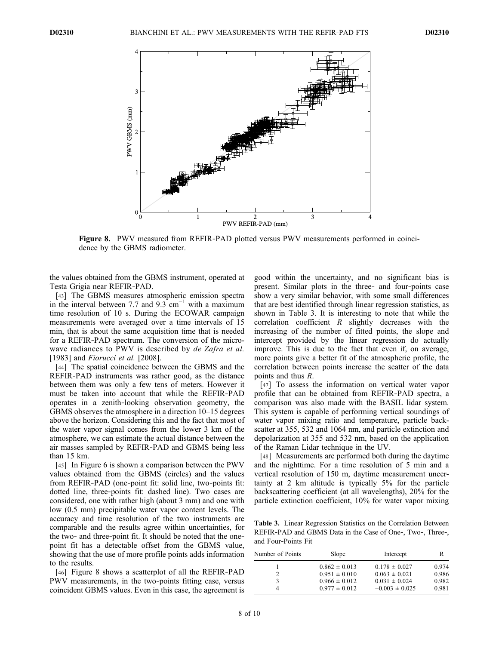

Figure 8. PWV measured from REFIR-PAD plotted versus PWV measurements performed in coincidence by the GBMS radiometer.

the values obtained from the GBMS instrument, operated at Testa Grigia near REFIR‐PAD.

[43] The GBMS measures atmospheric emission spectra in the interval between 7.7 and  $9.3 \text{ cm}^{-1}$  with a maximum time resolution of 10 s. During the ECOWAR campaign measurements were averaged over a time intervals of 15 min, that is about the same acquisition time that is needed for a REFIR‐PAD spectrum. The conversion of the microwave radiances to PWV is described by de Zafra et al. [1983] and *Fiorucci et al.* [2008].

[44] The spatial coincidence between the GBMS and the REFIR‐PAD instruments was rather good, as the distance between them was only a few tens of meters. However it must be taken into account that while the REFIR‐PAD operates in a zenith‐looking observation geometry, the GBMS observes the atmosphere in a direction 10–15 degrees above the horizon. Considering this and the fact that most of the water vapor signal comes from the lower 3 km of the atmosphere, we can estimate the actual distance between the air masses sampled by REFIR‐PAD and GBMS being less than 15 km.

[45] In Figure 6 is shown a comparison between the PWV values obtained from the GBMS (circles) and the values from REFIR-PAD (one-point fit: solid line, two-points fit: dotted line, three‐points fit: dashed line). Two cases are considered, one with rather high (about 3 mm) and one with low (0.5 mm) precipitable water vapor content levels. The accuracy and time resolution of the two instruments are comparable and the results agree within uncertainties, for the two‐ and three‐point fit. It should be noted that the one‐ point fit has a detectable offset from the GBMS value, showing that the use of more profile points adds information to the results.

[46] Figure 8 shows a scatterplot of all the REFIR-PAD PWV measurements, in the two-points fitting case, versus coincident GBMS values. Even in this case, the agreement is good within the uncertainty, and no significant bias is present. Similar plots in the three‐ and four‐points case show a very similar behavior, with some small differences that are best identified through linear regression statistics, as shown in Table 3. It is interesting to note that while the correlation coefficient  $R$  slightly decreases with the increasing of the number of fitted points, the slope and intercept provided by the linear regression do actually improve. This is due to the fact that even if, on average, more points give a better fit of the atmospheric profile, the correlation between points increase the scatter of the data points and thus R.

[47] To assess the information on vertical water vapor profile that can be obtained from REFIR‐PAD spectra, a comparison was also made with the BASIL lidar system. This system is capable of performing vertical soundings of water vapor mixing ratio and temperature, particle backscatter at 355, 532 and 1064 nm, and particle extinction and depolarization at 355 and 532 nm, based on the application of the Raman Lidar technique in the UV.

[48] Measurements are performed both during the daytime and the nighttime. For a time resolution of 5 min and a vertical resolution of 150 m, daytime measurement uncertainty at 2 km altitude is typically 5% for the particle backscattering coefficient (at all wavelengths), 20% for the particle extinction coefficient, 10% for water vapor mixing

Table 3. Linear Regression Statistics on the Correlation Between REFIR‐PAD and GBMS Data in the Case of One‐, Two‐, Three‐, and Four‐Points Fit

| Number of Points | Slope             | Intercept          | R     |
|------------------|-------------------|--------------------|-------|
|                  | $0.862 \pm 0.013$ | $0.178 \pm 0.027$  | 0.974 |
|                  | $0.951 \pm 0.010$ | $0.063 \pm 0.021$  | 0.986 |
|                  | $0.966 \pm 0.012$ | $0.031 \pm 0.024$  | 0.982 |
|                  | $0.977 \pm 0.012$ | $-0.003 \pm 0.025$ | 0.981 |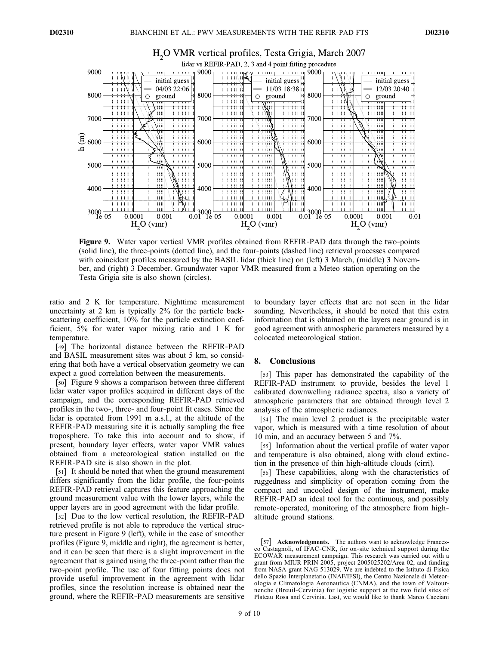

# H<sub>2</sub>O VMR vertical profiles, Testa Grigia, March 2007

Figure 9. Water vapor vertical VMR profiles obtained from REFIR-PAD data through the two-points (solid line), the three‐points (dotted line), and the four‐points (dashed line) retrieval processes compared with coincident profiles measured by the BASIL lidar (thick line) on (left) 3 March, (middle) 3 November, and (right) 3 December. Groundwater vapor VMR measured from a Meteo station operating on the Testa Grigia site is also shown (circles).

ratio and 2 K for temperature. Nighttime measurement uncertainty at 2 km is typically 2% for the particle backscattering coefficient,  $10\%$  for the particle extinction coefficient, 5% for water vapor mixing ratio and 1 K for temperature.

[49] The horizontal distance between the REFIR‐PAD and BASIL measurement sites was about 5 km, so considering that both have a vertical observation geometry we can expect a good correlation between the measurements.

[50] Figure 9 shows a comparison between three different lidar water vapor profiles acquired in different days of the campaign, and the corresponding REFIR‐PAD retrieved profiles in the two‐, three‐ and four‐point fit cases. Since the lidar is operated from 1991 m a.s.l., at the altitude of the REFIR‐PAD measuring site it is actually sampling the free troposphere. To take this into account and to show, if present, boundary layer effects, water vapor VMR values obtained from a meteorological station installed on the REFIR‐PAD site is also shown in the plot.

[51] It should be noted that when the ground measurement differs significantly from the lidar profile, the four-points REFIR‐PAD retrieval captures this feature approaching the ground measurement value with the lower layers, while the upper layers are in good agreement with the lidar profile.

[52] Due to the low vertical resolution, the REFIR-PAD retrieved profile is not able to reproduce the vertical structure present in Figure 9 (left), while in the case of smoother profiles (Figure 9, middle and right), the agreement is better, and it can be seen that there is a slight improvement in the agreement that is gained using the three‐point rather than the two‐point profile. The use of four fitting points does not provide useful improvement in the agreement with lidar profiles, since the resolution increase is obtained near the ground, where the REFIR‐PAD measurements are sensitive

to boundary layer effects that are not seen in the lidar sounding. Nevertheless, it should be noted that this extra information that is obtained on the layers near ground is in good agreement with atmospheric parameters measured by a colocated meteorological station.

#### 8. Conclusions

[53] This paper has demonstrated the capability of the REFIR‐PAD instrument to provide, besides the level 1 calibrated downwelling radiance spectra, also a variety of atmospheric parameters that are obtained through level 2 analysis of the atmospheric radiances.

[54] The main level 2 product is the precipitable water vapor, which is measured with a time resolution of about 10 min, and an accuracy between 5 and 7%.

[55] Information about the vertical profile of water vapor and temperature is also obtained, along with cloud extinction in the presence of thin high‐altitude clouds (cirri).

[56] These capabilities, along with the characteristics of ruggedness and simplicity of operation coming from the compact and uncooled design of the instrument, make REFIR‐PAD an ideal tool for the continuous, and possibly remote-operated, monitoring of the atmosphere from highaltitude ground stations.

<sup>[57]</sup> **Acknowledgments.** The authors want to acknowledge Francesco Castagnoli, of IFAC‐CNR, for on‐site technical support during the ECOWAR measurement campaign. This research was carried out with a grant from MIUR PRIN 2005, project 2005025202/Area 02, and funding from NASA grant NAG 513029. We are indebted to the Istituto di Fisica dello Spazio Interplanetario (INAF/IFSI), the Centro Nazionale di Meteorologia e Climatologia Aeronautica (CNMA), and the town of Valtournenche (Breuil‐Cervinia) for logistic support at the two field sites of Plateau Rosa and Cervinia. Last, we would like to thank Marco Cacciani